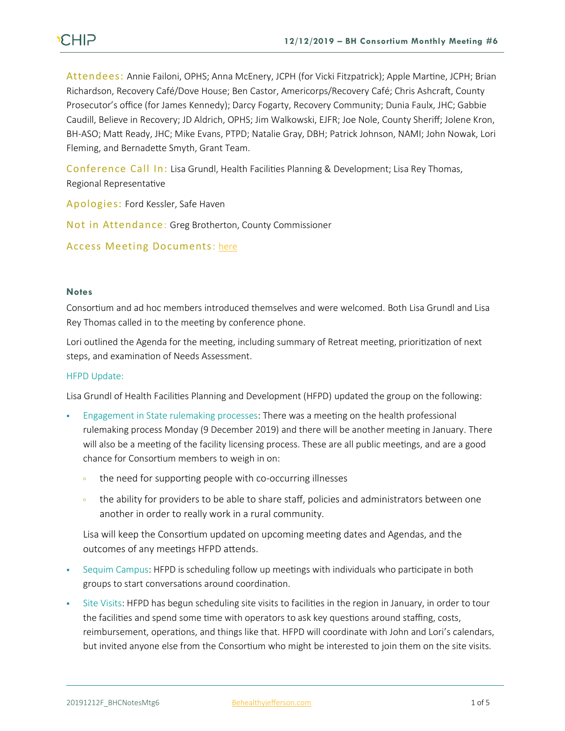# **CHIP**

Attendees: Annie Failoni, OPHS; Anna McEnery, JCPH (for Vicki Fitzpatrick); Apple Martine, JCPH; Brian Richardson, Recovery Café/Dove House; Ben Castor, Americorps/Recovery Café; Chris Ashcraft, County Prosecutor's office (for James Kennedy); Darcy Fogarty, Recovery Community; Dunia Faulx, JHC; Gabbie Caudill, Believe in Recovery; JD Aldrich, OPHS; Jim Walkowski, EJFR; Joe Nole, County Sheriff; Jolene Kron, BH-ASO; Matt Ready, JHC; Mike Evans, PTPD; Natalie Gray, DBH; Patrick Johnson, NAMI; John Nowak, Lori Fleming, and Bernadette Smyth, Grant Team.

Conference Call In: Lisa Grundl, Health Facilities Planning & Development; Lisa Rey Thomas, Regional Representative

Apologies: Ford Kessler, Safe Haven

Not in Attendance: Greg Brotherton, County Commissioner

# Access Meeting Documents: [here](https://www.behealthyjefferson.com/copy-of-meeting-minutes)

#### **Notes**

Consortium and ad hoc members introduced themselves and were welcomed. Both Lisa Grundl and Lisa Rey Thomas called in to the meeting by conference phone.

Lori outlined the Agenda for the meeting, including summary of Retreat meeting, prioritization of next steps, and examination of Needs Assessment.

#### HFPD Update:

Lisa Grundl of Health Facilities Planning and Development (HFPD) updated the group on the following:

- Engagement in State rulemaking processes: There was a meeting on the health professional rulemaking process Monday (9 December 2019) and there will be another meeting in January. There will also be a meeting of the facility licensing process. These are all public meetings, and are a good chance for Consortium members to weigh in on:
	- <sup>•</sup> the need for supporting people with co-occurring illnesses
	- the ability for providers to be able to share staff, policies and administrators between one another in order to really work in a rural community.

Lisa will keep the Consortium updated on upcoming meeting dates and Agendas, and the outcomes of any meetings HFPD attends.

- Sequim Campus: HFPD is scheduling follow up meetings with individuals who participate in both groups to start conversations around coordination.
- Site Visits: HFPD has begun scheduling site visits to facilities in the region in January, in order to tour the facilities and spend some time with operators to ask key questions around staffing, costs, reimbursement, operations, and things like that. HFPD will coordinate with John and Lori's calendars, but invited anyone else from the Consortium who might be interested to join them on the site visits.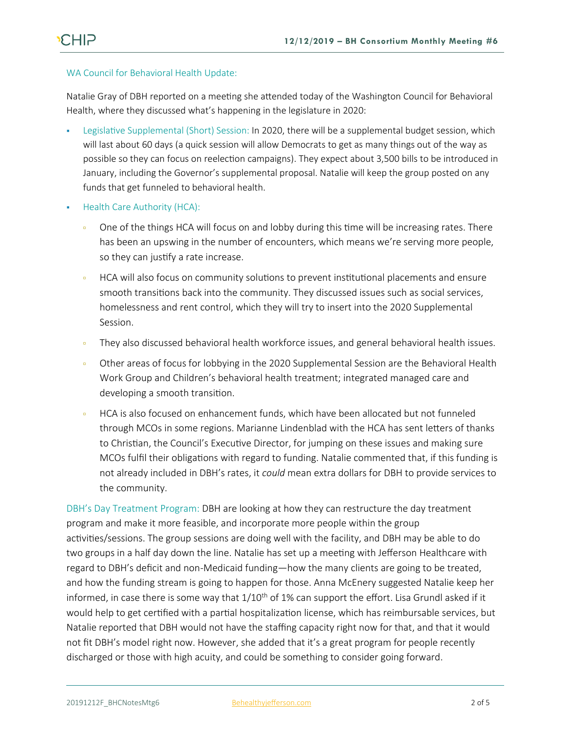### WA Council for Behavioral Health Update:

Natalie Gray of DBH reported on a meeting she attended today of the Washington Council for Behavioral Health, where they discussed what's happening in the legislature in 2020:

- Legislative Supplemental (Short) Session: In 2020, there will be a supplemental budget session, which will last about 60 days (a quick session will allow Democrats to get as many things out of the way as possible so they can focus on reelection campaigns). They expect about 3,500 bills to be introduced in January, including the Governor's supplemental proposal. Natalie will keep the group posted on any funds that get funneled to behavioral health.
- **Health Care Authority (HCA):** 
	- One of the things HCA will focus on and lobby during this time will be increasing rates. There has been an upswing in the number of encounters, which means we're serving more people, so they can justify a rate increase.
	- HCA will also focus on community solutions to prevent institutional placements and ensure smooth transitions back into the community. They discussed issues such as social services, homelessness and rent control, which they will try to insert into the 2020 Supplemental Session.
	- They also discussed behavioral health workforce issues, and general behavioral health issues.
	- Other areas of focus for lobbying in the 2020 Supplemental Session are the Behavioral Health Work Group and Children's behavioral health treatment; integrated managed care and developing a smooth transition.
	- HCA is also focused on enhancement funds, which have been allocated but not funneled through MCOs in some regions. Marianne Lindenblad with the HCA has sent letters of thanks to Christian, the Council's Executive Director, for jumping on these issues and making sure MCOs fulfil their obligations with regard to funding. Natalie commented that, if this funding is not already included in DBH's rates, it *could* mean extra dollars for DBH to provide services to the community.

DBH's Day Treatment Program: DBH are looking at how they can restructure the day treatment program and make it more feasible, and incorporate more people within the group activities/sessions. The group sessions are doing well with the facility, and DBH may be able to do two groups in a half day down the line. Natalie has set up a meeting with Jefferson Healthcare with regard to DBH's deficit and non-Medicaid funding—how the many clients are going to be treated, and how the funding stream is going to happen for those. Anna McEnery suggested Natalie keep her informed, in case there is some way that  $1/10^{th}$  of 1% can support the effort. Lisa Grundl asked if it would help to get certified with a partial hospitalization license, which has reimbursable services, but Natalie reported that DBH would not have the staffing capacity right now for that, and that it would not fit DBH's model right now. However, she added that it's a great program for people recently discharged or those with high acuity, and could be something to consider going forward.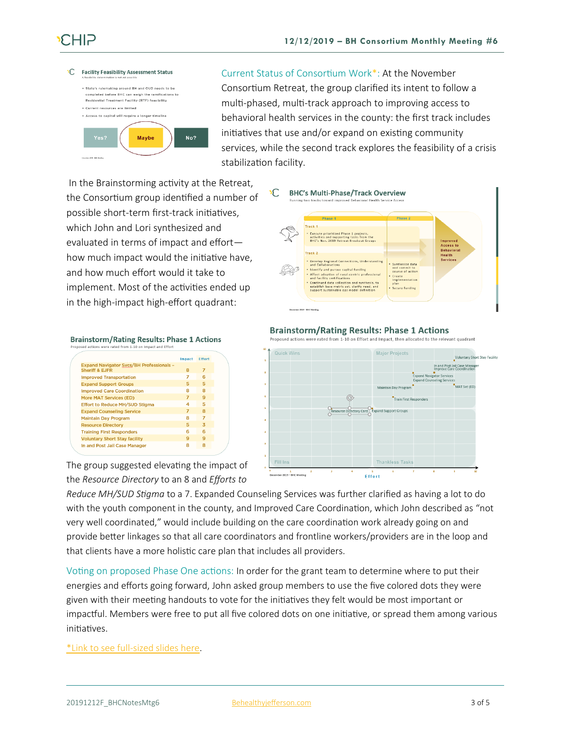

Current Status of Consortium Work\*: At the November Consortium Retreat, the group clarified its intent to follow a multi-phased, multi-track approach to improving access to behavioral health services in the county: the first track includes initiatives that use and/or expand on existing community services, while the second track explores the feasibility of a crisis stabilization facility.

In the Brainstorming activity at the Retreat, the Consortium group identified a number of possible short-term first-track initiatives, which John and Lori synthesized and evaluated in terms of impact and effort how much impact would the initiative have, and how much effort would it take to implement. Most of the activities ended up in the high-impact high-effort quadrant:



#### **Brainstorm/Rating Results: Phase 1 Actions** d actions were rated from 1-10 on Impact and Effort

|                                                                              | Impact | <b>Effort</b> |
|------------------------------------------------------------------------------|--------|---------------|
| <b>Expand Navigator Svcs/BH Professionals -</b><br><b>Sheriff &amp; EJFR</b> | 8      | 7             |
| <b>Improved Transportation</b>                                               | 7      | ี             |
| <b>Expand Support Groups</b>                                                 | 5      | 5             |
| <b>Improved Care Coordination</b>                                            | я      | я             |
| <b>More MAT Services (ED)</b>                                                | 7      | q             |
| <b>Effort to Reduce MH/SUD Stigma</b>                                        | 4      | 5             |
| <b>Expand Counseling Service</b>                                             | 7      | я             |
| <b>Maintain Day Program</b>                                                  | я      | 7             |
| <b>Resource Directory</b>                                                    | 5      | 3             |
| <b>Training First Responders</b>                                             | F      | ѧ             |
| <b>Voluntary Short Stay facility</b>                                         | a      | a             |
| In and Post Jail Case Manager                                                | 8      | Ջ             |
|                                                                              |        |               |

The group suggested elevating the impact of the *Resource Directory* to an 8 and *Efforts to* 

#### **Brainstorm/Rating Results: Phase 1 Actions**

Proposed actions were rated from 1-10 on Effort and Impact, then allocated to the relevant quadrant



*Reduce MH/SUD Stigma* to a 7. Expanded Counseling Services was further clarified as having a lot to do with the youth component in the county, and Improved Care Coordination, which John described as "not very well coordinated," would include building on the care coordination work already going on and provide better linkages so that all care coordinators and frontline workers/providers are in the loop and that clients have a more holistic care plan that includes all providers.

Voting on proposed Phase One actions: In order for the grant team to determine where to put their energies and efforts going forward, John asked group members to use the five colored dots they were given with their meeting handouts to vote for the initiatives they felt would be most important or impactful. Members were free to put all five colored dots on one initiative, or spread them among various initiatives.

[\\*Link to see full-sized slides here.](https://793b0af6-bf22-4c2c-91c8-8cc6fd2f172d.filesusr.com/ugd/2fdcdd_c56ae2d50f4e4f58b1953b419d21ff11.pdf)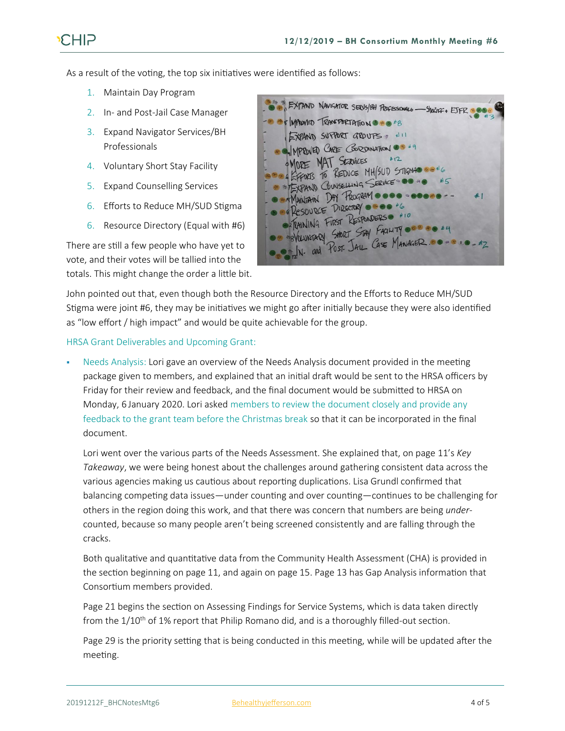As a result of the voting, the top six initiatives were identified as follows:

- 1. Maintain Day Program
- 2. In- and Post-Jail Case Manager
- 3. Expand Navigator Services/BH Professionals
- 4. Voluntary Short Stay Facility
- 5. Expand Counselling Services
- 6. Efforts to Reduce MH/SUD Stigma
- 6. Resource Directory (Equal with #6)

There are still a few people who have yet to vote, and their votes will be tallied into the totals. This might change the order a little bit.



John pointed out that, even though both the Resource Directory and the Efforts to Reduce MH/SUD Stigma were joint #6, they may be initiatives we might go after initially because they were also identified as "low effort / high impact" and would be quite achievable for the group.

HRSA Grant Deliverables and Upcoming Grant:

Needs Analysis: Lori gave an overview of the Needs Analysis document provided in the meeting package given to members, and explained that an initial draft would be sent to the HRSA officers by Friday for their review and feedback, and the final document would be submitted to HRSA on Monday, 6 January 2020. Lori asked members to review the document closely and provide any feedback to the grant team before the Christmas break so that it can be incorporated in the final document.

Lori went over the various parts of the Needs Assessment. She explained that, on page 11's *Key Takeaway*, we were being honest about the challenges around gathering consistent data across the various agencies making us cautious about reporting duplications. Lisa Grundl confirmed that balancing competing data issues—under counting and over counting—continues to be challenging for others in the region doing this work, and that there was concern that numbers are being *under*counted, because so many people aren't being screened consistently and are falling through the cracks.

Both qualitative and quantitative data from the Community Health Assessment (CHA) is provided in the section beginning on page 11, and again on page 15. Page 13 has Gap Analysis information that Consortium members provided.

Page 21 begins the section on Assessing Findings for Service Systems, which is data taken directly from the  $1/10<sup>th</sup>$  of 1% report that Philip Romano did, and is a thoroughly filled-out section.

Page 29 is the priority setting that is being conducted in this meeting, while will be updated after the meeting.